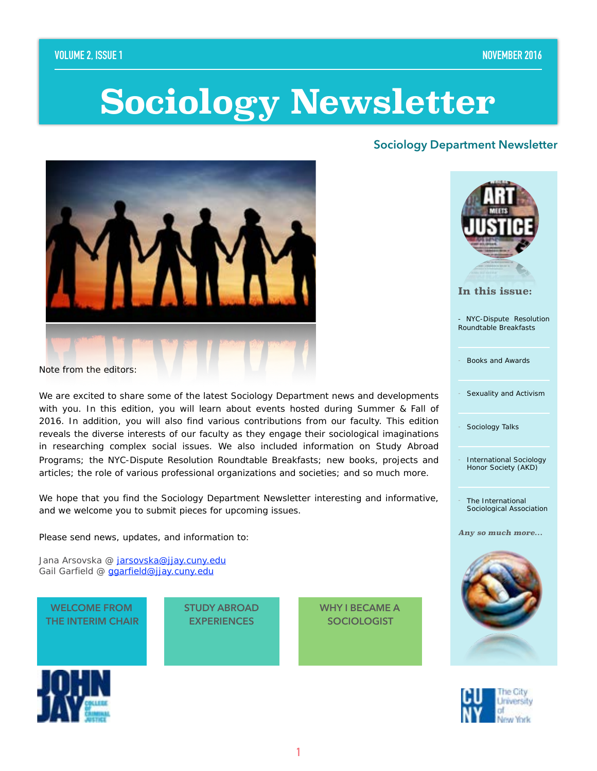# **Sociology Newsletter**

### **Sociology Department Newsletter**



Note from the editors:

We are excited to share some of the latest Sociology Department news and developments with you. In this edition, you will learn about events hosted during Summer & Fall of 2016. In addition, you will also find various contributions from our faculty. This edition reveals the diverse interests of our faculty as they engage their sociological imaginations in researching complex social issues. We also included information on Study Abroad Programs; the NYC-Dispute Resolution Roundtable Breakfasts; new books, projects and articles; the role of various professional organizations and societies; and so much more.

We hope that you find the *Sociology Department Newsletter* interesting and informative, and we welcome you to submit pieces for upcoming issues.

Please send news, updates, and information to:

Jana Arsovska @ [jarsovska@jjay.cuny.edu](mailto:jarsovska@jjay.cuny.edu) Gail Garfield @ [ggarfield@jjay.cuny.edu](mailto:ggarfield@jjay.cuny.edu)

**WELCOME FROM THE INTERIM CHAIR** **STUDY ABROAD EXPERIENCES** 



- NYC-Dispute Resolution Roundtable Breakfasts

Books and Awards

Sexuality and Activism

Sociology Talks

International Sociology Honor Society (AKD)

The International Sociological Association

*Any so much more…* 

![](_page_0_Picture_21.jpeg)

![](_page_0_Picture_22.jpeg)

**WHY I BECAME A SOCIOLOGIST**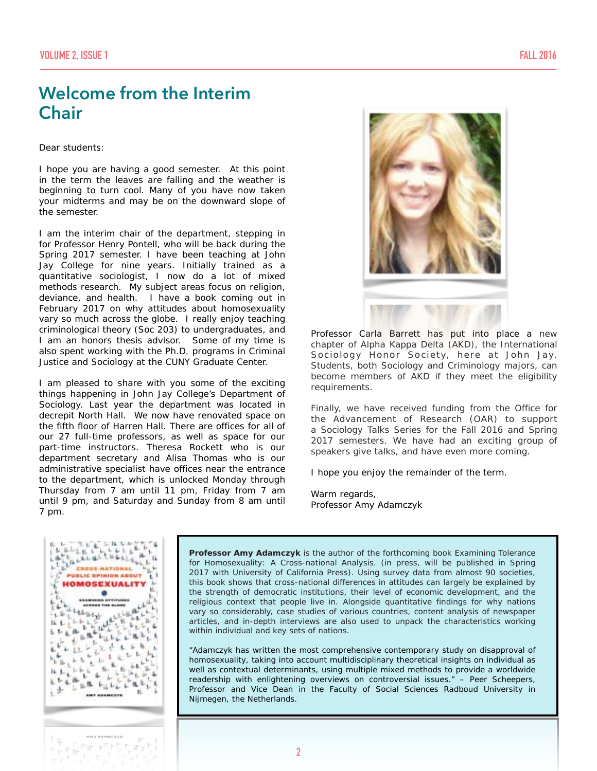### **Welcome from the Interim Chair**

Dear students:

I hope you are having a good semester. At this point in the term the leaves are falling and the weather is beginning to turn cool. Many of you have now taken your midterms and may be on the downward slope of the semester.

I am the interim chair of the department, stepping in for Professor Henry Pontell, who will be back during the Spring 2017 semester. I have been teaching at John Jay College for nine years. Initially trained as a quantitative sociologist, I now do a lot of mixed methods research. My subject areas focus on religion, deviance, and health. I have a book coming out in February 2017 on why attitudes about homosexuality vary so much across the globe. I really enjoy teaching criminological theory (Soc 203) to undergraduates, and I am an honors thesis advisor. Some of my time is also spent working with the Ph.D. programs in Criminal Justice and Sociology at the CUNY Graduate Center.

I am pleased to share with you some of the exciting things happening in John Jay College's Department of Sociology. Last year the department was located in decrepit North Hall. We now have renovated space on the fifth floor of Harren Hall. There are offices for all of our 27 full-time professors, as well as space for our part-time instructors. Theresa Rockett who is our department secretary and Alisa Thomas who is our administrative specialist have offices near the entrance to the department, which is unlocked Monday through Thursday from 7 am until 11 pm, Friday from 7 am until 9 pm, and Saturday and Sunday from 8 am until 7 pm.

![](_page_1_Picture_7.jpeg)

Professor Carla Barrett has put into place a new chapter of Alpha Kappa Delta (AKD), the International Sociology Honor Society, here at John Jay. Students, both Sociology and Criminology majors, can become members of AKD if they meet the eligibility requirements.

Finally, we have received funding from the Office for the Advancement of Research (OAR) to support a Sociology Talks Series for the Fall 2016 and Spring 2017 semesters. We have had an exciting group of speakers give talks, and have even more coming.

I hope you enjoy the remainder of the term.

Warm regards, Professor Amy Adamczyk

![](_page_1_Picture_12.jpeg)

**Professor Amy Adamczyk** is the author of the forthcoming book Examining Tolerance for Homosexuality: A Cross-national Analysis. (in press, will be published in Spring 2017 with University of California Press). Using survey data from almost 90 societies, this book shows that cross-national differences in attitudes can largely be explained by the strength of democratic institutions, their level of economic development, and the religious context that people live in. Alongside quantitative findings for why nations vary so considerably, case studies of various countries, content analysis of newspaper articles, and in-depth interviews are also used to unpack the characteristics working within individual and key sets of nations.

*"Adamczyk has written the most comprehensive contemporary study on disapproval of homosexuality, taking into account multidisciplinary theoretical insights on individual as well as contextual determinants, using multiple mixed methods to provide a worldwide readership with enlightening overviews on controversial issues." – Peer Scheepers,*  Professor and Vice Dean in the Faculty of Social Sciences Radboud University in Nijmegen, the Netherlands.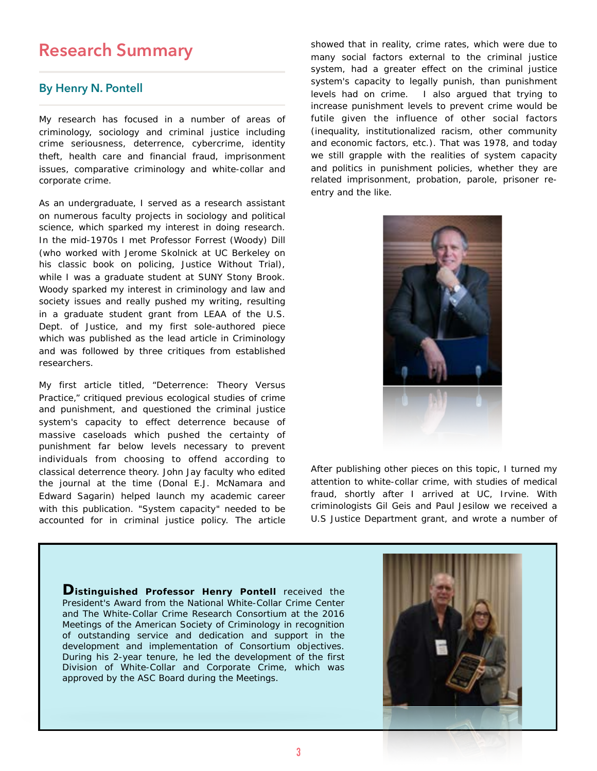### **Research Summary**

### **By Henry N. Pontell**

My research has focused in a number of areas of criminology, sociology and criminal justice including crime seriousness, deterrence, cybercrime, identity theft, health care and financial fraud, imprisonment issues, comparative criminology and white-collar and corporate crime.

As an undergraduate, I served as a research assistant on numerous faculty projects in sociology and political science, which sparked my interest in doing research. In the mid-1970s I met Professor Forrest (Woody) Dill (who worked with Jerome Skolnick at UC Berkeley on his classic book on policing, *Justice Without Trial)*, while I was a graduate student at SUNY Stony Brook. Woody sparked my interest in criminology and law and society issues and really pushed my writing, resulting in a graduate student grant from LEAA of the U.S. Dept. of Justice, and my first sole-authored piece which was published as the lead article in *Criminology* and was followed by three critiques from established researchers.

My first article titled, "*Deterrence: Theory Versus Practice*," critiqued previous ecological studies of crime and punishment, and questioned the criminal justice system's capacity to effect deterrence because of massive caseloads which pushed the certainty of punishment far below levels necessary to prevent individuals from choosing to offend according to classical deterrence theory. John Jay faculty who edited the journal at the time (Donal E.J. McNamara and Edward Sagarin) helped launch my academic career with this publication. "System capacity" needed to be accounted for in criminal justice policy. The article showed that in reality, crime rates, which were due to many social factors *external* to the criminal justice system, had a greater effect on the criminal justice system's capacity to legally punish, than punishment levels had on crime. I also argued that trying to increase punishment levels to prevent crime would be futile given the influence of other social factors (inequality, institutionalized racism, other community and economic factors, etc.). That was 1978, and today we still grapple with the realities of system capacity and politics in punishment policies, whether they are related imprisonment, probation, parole, prisoner reentry and the like.

![](_page_2_Picture_6.jpeg)

After publishing other pieces on this topic, I turned my attention to white-collar crime, with studies of medical fraud, shortly after I arrived at UC, Irvine. With criminologists Gil Geis and Paul Jesilow we received a U.S Justice Department grant, and wrote a number of

**Distinguished Professor Henry Pontell** received the President's Award from the National White-Collar Crime Center and The White-Collar Crime Research Consortium at the 2016 Meetings of the American Society of Criminology in recognition of outstanding service and dedication and support in the development and implementation of Consortium objectives. During his 2-year tenure, he led the development of the first Division of White-Collar and Corporate Crime, which was approved by the ASC Board during the Meetings.

![](_page_2_Picture_9.jpeg)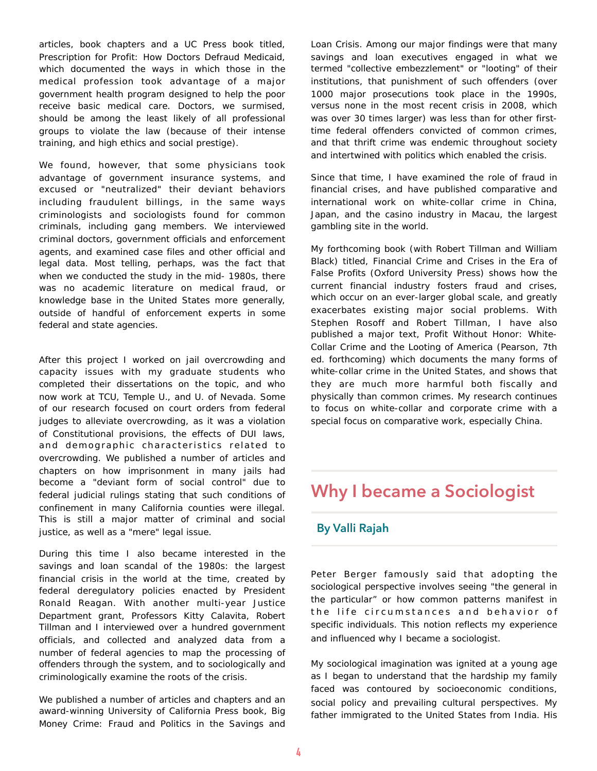articles, book chapters and a UC Press book titled, *Prescription for Profit: How Doctors Defraud Medicaid*, which documented the ways in which those in the medical profession took advantage of a major government health program designed to help the poor receive basic medical care. Doctors, we surmised, should be among the *least likely* of all professional groups to violate the law (because of their intense training, and high ethics and social prestige).

We found, however, that some physicians took advantage of government insurance systems, and excused or "neutralized" their deviant behaviors including fraudulent billings, in the same ways criminologists and sociologists found for common criminals, including gang members. We interviewed criminal doctors, government officials and enforcement agents, and examined case files and other official and legal data. Most telling, perhaps, was the fact that when we conducted the study in the mid- 1980s, there was no academic literature on medical fraud, or knowledge base in the United States more generally, outside of handful of enforcement experts in some federal and state agencies.

After this project I worked on jail overcrowding and capacity issues with my graduate students who completed their dissertations on the topic, and who now work at TCU, Temple U., and U. of Nevada. Some of our research focused on court orders from federal judges to alleviate overcrowding, as it was a violation of Constitutional provisions, the effects of DUI laws, and demographic characteristics related to overcrowding. We published a number of articles and chapters on how imprisonment in many jails had become a "deviant form of social control" due to federal judicial rulings stating that such conditions of confinement in many California counties were illegal. This is still a major matter of criminal and social justice, as well as a "mere" legal issue.

During this time I also became interested in the savings and loan scandal of the 1980s: the largest financial crisis in the world at the time, created by federal deregulatory policies enacted by President Ronald Reagan. With another multi-year Justice Department grant, Professors Kitty Calavita, Robert Tillman and I interviewed over a hundred government officials, and collected and analyzed data from a number of federal agencies to map the processing of offenders through the system, and to sociologically and criminologically examine the roots of the crisis.

We published a number of articles and chapters and an award-winning University of California Press book, *Big Money Crime: Fraud and Politics in the Savings and*  *Loan Crisis.* Among our major findings were that many savings and loan executives engaged in what we termed "collective embezzlement" or "looting" of their institutions, that punishment of such offenders (over 1000 major prosecutions took place in the 1990s, versus *none* in the most recent crisis in 2008, which was over *30 times large*r) was less than for other firsttime federal offenders convicted of common crimes, and that thrift crime was endemic throughout society and intertwined with politics which enabled the crisis.

Since that time, I have examined the role of fraud in financial crises, and have published comparative and international work on white-collar crime in China, Japan, and the casino industry in Macau, the largest gambling site in the world.

My forthcoming book (with Robert Tillman and William Black) titled, *Financial Crime and Crises in the Era of False Profits* (Oxford University Press) shows how the current financial industry fosters fraud and crises, which occur on an ever-larger global scale, and greatly exacerbates existing major social problems. With Stephen Rosoff and Robert Tillman, I have also published a major text, *Profit Without Honor: White-Collar Crime and the Looting of America* (Pearson, 7th ed. forthcoming) which documents the many forms of white-collar crime in the United States, and shows that they are much more harmful both fiscally and physically than common crimes. My research continues to focus on white-collar and corporate crime with a special focus on comparative work, especially China.

### **Why I became a Sociologist**

### **By Valli Rajah**

Peter Berger famously said that adopting the sociological perspective involves seeing "the general in the particular" or how common patterns manifest in the life circumstances and behavior of specific individuals. This notion reflects my experience and influenced why I became a sociologist.

My sociological imagination was ignited at a young age as I began to understand that the hardship my family faced was contoured by socioeconomic conditions, social policy and prevailing cultural perspectives. My father immigrated to the United States from India. His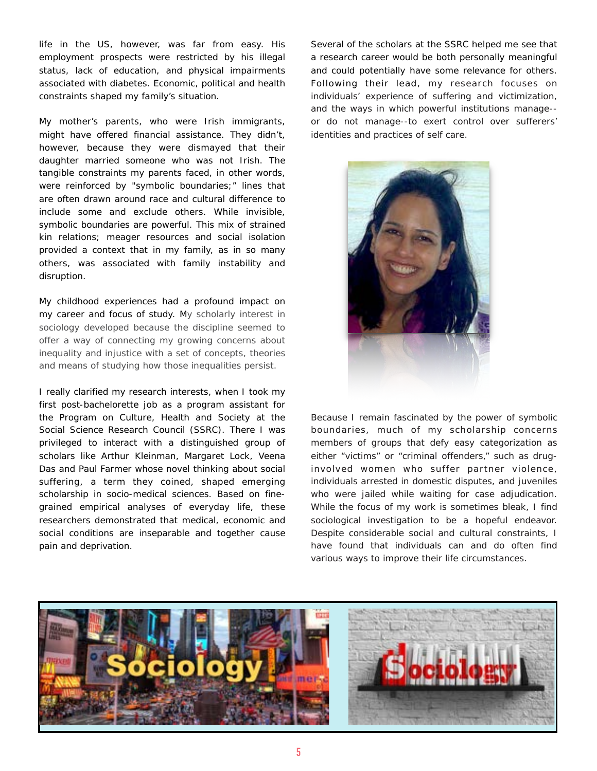life in the US, however, was far from easy. His employment prospects were restricted by his illegal status, lack of education, and physical impairments associated with diabetes. Economic, political and health constraints shaped my family's situation.

My mother's parents, who were Irish immigrants, might have offered financial assistance. They didn't, however, because they were dismayed that their daughter married someone who was not Irish. The tangible constraints my parents faced, in other words, were reinforced by "symbolic boundaries;" lines that are often drawn around race and cultural difference to include some and exclude others. While invisible, symbolic boundaries are powerful. This mix of strained kin relations; meager resources and social isolation provided a context that in my family, as in so many others, was associated with family instability and disruption.

My childhood experiences had a profound impact on my career and focus of study. My scholarly interest in sociology developed because the discipline seemed to offer a way of connecting my growing concerns about inequality and injustice with a set of concepts, theories and means of studying how those inequalities persist.

I really clarified my research interests, when I took my first post-bachelorette job as a program assistant for the Program on Culture, Health and Society at the Social Science Research Council (SSRC). There I was privileged to interact with a distinguished group of scholars like Arthur Kleinman, Margaret Lock, Veena Das and Paul Farmer whose novel thinking about social suffering, a term they coined, shaped emerging scholarship in socio-medical sciences. Based on finegrained empirical analyses of everyday life, these researchers demonstrated that medical, economic and social conditions are inseparable and together cause pain and deprivation.

Several of the scholars at the SSRC helped me see that a research career would be both personally meaningful and could potentially have some relevance for others. Following their lead, my research focuses on individuals' experience of suffering and victimization, and the ways in which powerful institutions manage- or do not manage--to exert control over sufferers' identities and practices of self care.

![](_page_4_Picture_5.jpeg)

Because I remain fascinated by the power of symbolic boundaries, much of my scholarship concerns members of groups that defy easy categorization as either "victims" or "criminal offenders," such as druginvolved women who suffer partner violence, individuals arrested in domestic disputes, and juveniles who were jailed while waiting for case adjudication. While the focus of my work is sometimes bleak, I find sociological investigation to be a hopeful endeavor. Despite considerable social and cultural constraints, I have found that individuals can and do often find various ways to improve their life circumstances.

![](_page_4_Picture_7.jpeg)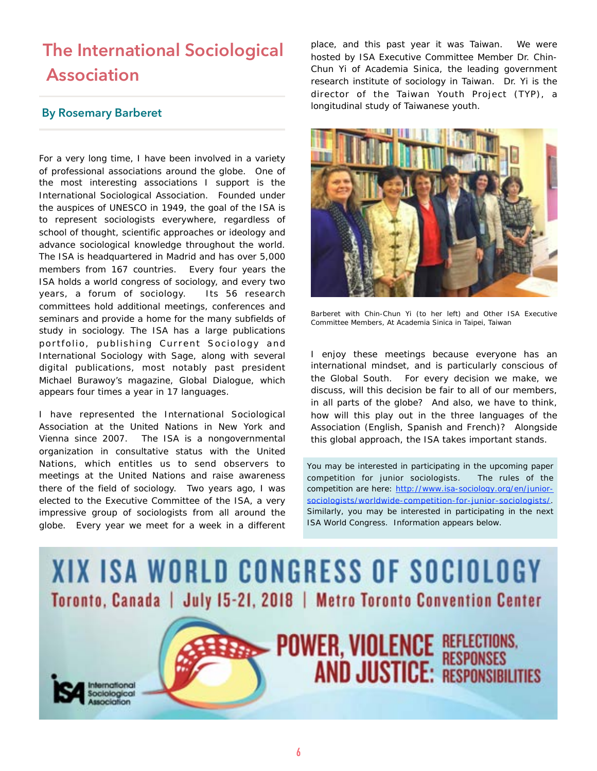# **The International Sociological Association**

### **By Rosemary Barberet**

For a very long time, I have been involved in a variety of professional associations around the globe. One of the most interesting associations I support is the International Sociological Association. Founded under the auspices of UNESCO in 1949, the goal of the ISA is to represent sociologists everywhere, regardless of school of thought, scientific approaches or ideology and advance sociological knowledge throughout the world. The ISA is headquartered in Madrid and has over 5,000 members from 167 countries. Every four years the ISA holds a world congress of sociology, and every two years, a forum of sociology. Its 56 research committees hold additional meetings, conferences and seminars and provide a home for the many subfields of study in sociology. The ISA has a large publications portfolio, publishing Current Sociology and *International Sociology* with Sage, along with several digital publications, most notably past president Michael Burawoy's magazine, *Global Dialogue*, which appears four times a year in 17 languages.

I have represented the International Sociological Association at the United Nations in New York and Vienna since 2007. The ISA is a nongovernmental organization in consultative status with the United Nations, which entitles us to send observers to meetings at the United Nations and raise awareness there of the field of sociology. Two years ago, I was elected to the Executive Committee of the ISA, a very impressive group of sociologists from all around the globe. Every year we meet for a week in a different place, and this past year it was Taiwan. We were hosted by ISA Executive Committee Member Dr. Chin-Chun Yi of Academia Sinica, the leading government research institute of sociology in Taiwan. Dr. Yi is the director of the Taiwan Youth Project (TYP), a longitudinal study of Taiwanese youth.

![](_page_5_Picture_5.jpeg)

Barberet with Chin-Chun Yi (to her left) and Other ISA Executive Committee Members, At Academia Sinica in Taipei, Taiwan

I enjoy these meetings because everyone has an international mindset, and is particularly conscious of the Global South. For every decision we make, we discuss, will this decision be fair to all of our members, in all parts of the globe? And also, we have to think, how will this play out in the three languages of the Association (English, Spanish and French)? Alongside this global approach, the ISA takes important stands.

*You may be interested in participating in the upcoming paper competition for junior sociologists. The rules of the competition are here: http://www.isa-sociology.org/en/junior[sociologists/worldwide-competition-for-junior-sociologists/.](http://www.isa-sociology.org/en/junior-sociologists/worldwide-competition-for-junior-sociologists/)  Similarly, you may be interested in participating in the next ISA World Congress. Information appears below.* 

![](_page_5_Picture_9.jpeg)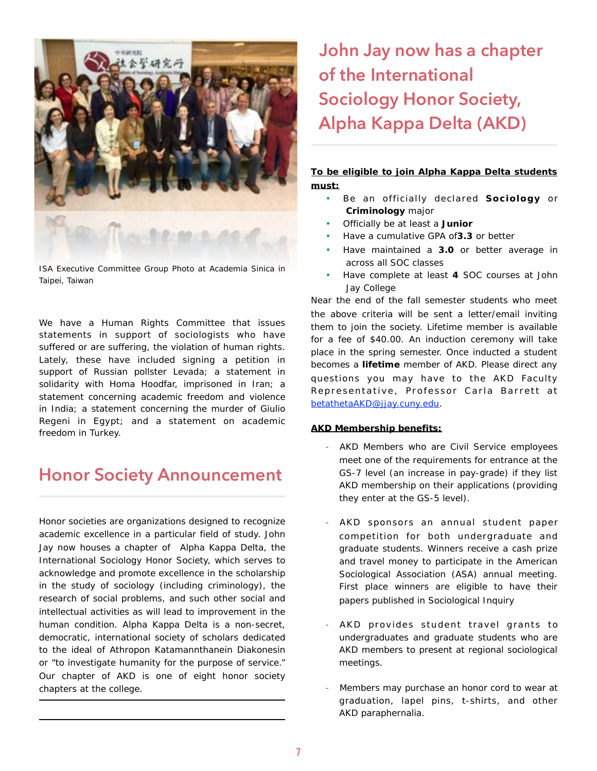![](_page_6_Picture_0.jpeg)

ISA Executive Committee Group Photo at Academia Sinica in Taipei, Taiwan

We have a Human Rights Committee that issues statements in support of sociologists who have suffered or are suffering, the violation of human rights. Lately, these have included signing a petition in support of Russian pollster Levada; a statement in solidarity with Homa Hoodfar, imprisoned in Iran; a statement concerning academic freedom and violence in India; a statement concerning the murder of Giulio Regeni in Egypt; and a statement on academic freedom in Turkey.

### **Honor Society Announcement**

Honor societies are organizations designed to recognize academic excellence in a particular field of study. John Jay now houses a chapter of Alpha Kappa Delta, the International Sociology Honor Society, which serves to acknowledge and promote excellence in the scholarship in the study of sociology (including criminology), the research of social problems, and such other social and intellectual activities as will lead to improvement in the human condition. Alpha Kappa Delta is a non-secret, democratic, international society of scholars dedicated to the ideal of Athropon Katamannthanein Diakonesin or "to investigate humanity for the purpose of service." Our chapter of AKD is one of eight honor society chapters at the college.

# **John Jay now has a chapter of the International Sociology Honor Society, Alpha Kappa Delta (AKD)**

### **To be eligible to join Alpha Kappa Delta students must:**

- Be an officially declared **Sociology** or **Criminology** major
- Officially be at least a **Junior**
- Have a cumulative GPA of**3.3** or better
- Have maintained a **3.0** or better average in across all SOC classes
- Have complete at least **4** SOC courses at John Jay College

Near the end of the fall semester students who meet the above criteria will be sent a letter/email inviting them to join the society. Lifetime member is available for a fee of \$40.00. An induction ceremony will take place in the spring semester. Once inducted a student becomes a **lifetime** member of AKD. Please direct any questions you may have to the AKD Faculty Representative, Professor Carla Barrett at [betathetaAKD@jjay.cuny.edu.](mailto:betathetaAKD@jjay.cuny.edu)

### **AKD Membership benefits:**

- AKD Members who are Civil Service employees meet one of the requirements for entrance at the GS-7 level (an increase in pay-grade) if they list AKD membership on their applications (providing they enter at the GS-5 level).
- AKD sponsors an annual student paper competition for both undergraduate and graduate students. Winners receive a cash prize and travel money to participate in the American Sociological Association (ASA) annual meeting. First place winners are eligible to have their papers published in *Sociological Inquiry*
- AKD provides student travel grants to undergraduates and graduate students who are AKD members to present at regional sociological meetings.
- Members may purchase an honor cord to wear at graduation, lapel pins, t-shirts, and other AKD paraphernalia.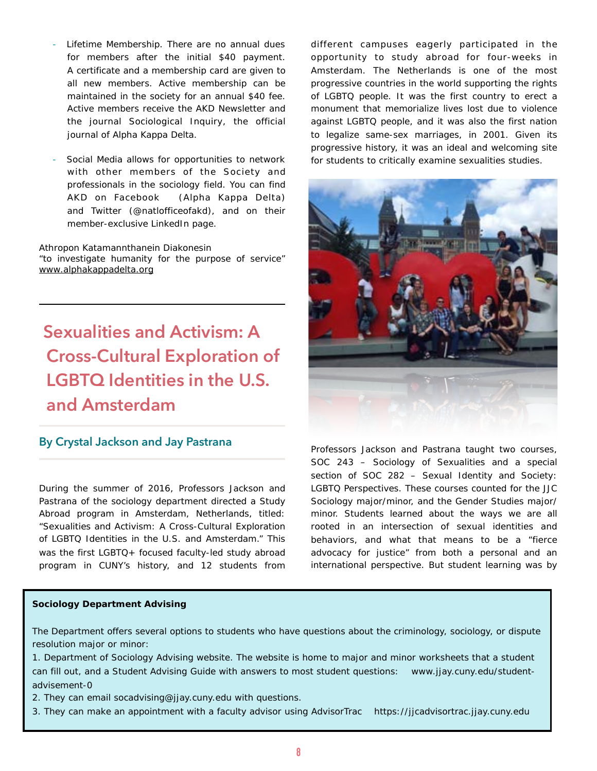- Lifetime Membership. There are no annual dues for members after the initial \$40 payment. A certificate and a membership card are given to all new members. Active membership can be maintained in the society for an annual \$40 fee. Active members receive the AKD Newsletter and the journal *Sociological Inquiry,* the official journal of Alpha Kappa Delta.
- Social Media allows for opportunities to network with other members of the Society and professionals in the sociology field. You can find AKD on [Facebook](https://www.facebook.com/alphakappadelta?ref=hl) (Alpha Kappa Delta) and [Twitter](https://twitter.com/natlofficeofakd) (@natlofficeofakd), and on their member-exclusive [LinkedIn](https://www.linkedin.com/profile/view?id=218209557&trk=nav_responsive_tab_profile) page.

Athropon Katamannthanein Diakonesin "to investigate humanity for the purpose of service" [www.alphakappadelta.org](http://www.alphakappadelta.org)

# **Sexualities and Activism: A Cross-Cultural Exploration of LGBTQ Identities in the U.S. and Amsterdam**

### **By Crystal Jackson and Jay Pastrana**

During the summer of 2016, Professors Jackson and Pastrana of the sociology department directed a Study Abroad program in Amsterdam, Netherlands, titled: "Sexualities and Activism: A Cross-Cultural Exploration of LGBTQ Identities in the U.S. and Amsterdam." This was the first LGBTQ+ focused faculty-led study abroad program in CUNY's history, and 12 students from

different campuses eagerly participated in the opportunity to study abroad for four-weeks in Amsterdam. The Netherlands is one of the most progressive countries in the world supporting the rights of LGBTQ people. It was the first country to erect a monument that memorialize lives lost due to violence against LGBTQ people, and it was also the first nation to legalize same-sex marriages, in 2001. Given its progressive history, it was an ideal and welcoming site for students to critically examine sexualities studies.

![](_page_7_Picture_7.jpeg)

Professors Jackson and Pastrana taught two courses, SOC 243 – Sociology of Sexualities and a special section of SOC 282 – Sexual Identity and Society: LGBTQ Perspectives. These courses counted for the JJC Sociology major/minor, and the Gender Studies major/ minor. Students learned about the ways we are all rooted in an intersection of sexual identities and behaviors, and what that means to be a "fierce advocacy for justice" from both a personal and an international perspective. But student learning was by

#### **Sociology Department Advising**

The Department offers several options to students who have questions about the criminology, sociology, or dispute resolution major or minor:

1. Department of Sociology Advising website. The website is home to major and minor worksheets that a student can fill out, and a Student Advising Guide with answers to most student questions: www.jjay.cuny.edu/studentadvisement-0

- 2. They can email socadvising@jjay.cuny.edu with questions.
- 3. They can make an appointment with a faculty advisor using AdvisorTrac https://jjcadvisortrac.jjay.cuny.edu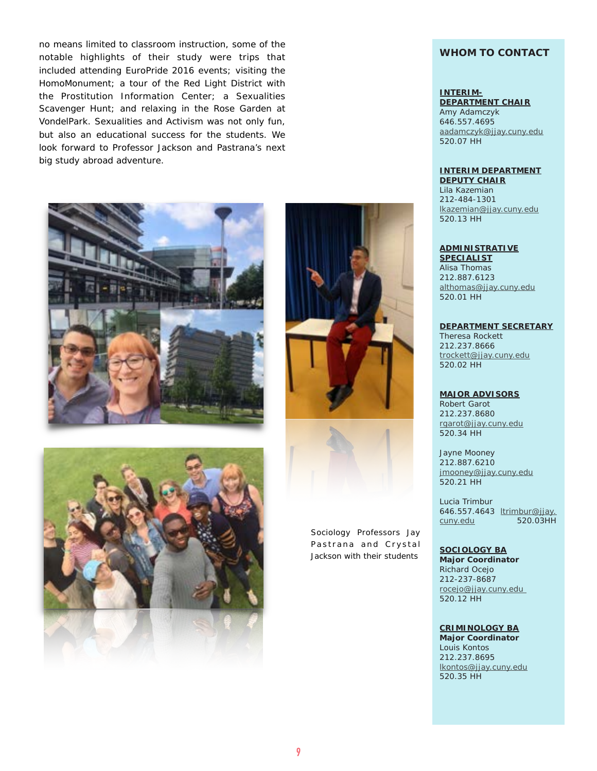no means limited to classroom instruction, some of the notable highlights of their study were trips that included attending EuroPride 2016 events; visiting the HomoMonument; a tour of the Red Light District with the Prostitution Information Center; a Sexualities Scavenger Hunt; and relaxing in the Rose Garden at VondelPark. Sexualities and Activism was not only fun, but also an educational success for the students. We look forward to Professor Jackson and Pastrana's next big study abroad adventure.

![](_page_8_Picture_1.jpeg)

![](_page_8_Picture_2.jpeg)

![](_page_8_Picture_3.jpeg)

*Sociology Professors Jay P a s t r a n a a n d C r y s t a l Jackson with their students* 

### **WHOM TO CONTACT**

### **INTERIM-**

**DEPARTMENT CHAIR** Amy Adamczyk 646.557.4695 [aadamczyk@jjay.cuny.edu](mailto:jmooney@jjay.cuny.edu) 520.07 HH

### **INTERIM DEPARTMENT**

**DEPUTY CHAIR** Lila Kazemian 212-484-1301 [lkazemian@jjay.cuny.edu](mailto:lkazemian@jjay.cuny.edu) 520.13 HH

### **ADMINISTRATIVE**

**SPECIALIST** Alisa Thomas 212.887.6123 [althomas@jjay.cuny.edu](mailto:jmooney@jjay.cuny.edu) 520.01 HH

#### **DEPARTMENT SECRETARY**

Theresa Rockett 212.237.8666 [trockett@jjay.cuny.edu](mailto:trockett@jjay.cuny.edu) 520.02 HH

### **MAJOR ADVISORS**

Robert Garot 212.237.8680 [rgarot@jjay.cuny.edu](mailto:rgarot@jjay.cuny.edu) 520.34 HH

Jayne Mooney 212.887.6210 [jmooney@jjay.cuny.edu](mailto:apastrana@jjay.cuny.edu) 520.21 HH

Lucia Trimbur 646.557.4643 ltrimbur@jjay. [cuny.edu 520.03HH](mailto:ltrimbur@jjay.cuny.edu) 

### **SOCIOLOGY BA**

**Major Coordinator** Richard Ocejo 212-237-8687 [rocejo@jjay.cuny.edu](mailto:rgarot@jjay.cuny.edu)  520.12 HH

**CRIMINOLOGY BA Major Coordinator** Louis Kontos 212.237.8695

[lkontos@jjay.cuny.edu](mailto:jmooney@jjay.cuny.edu)

520.35 HH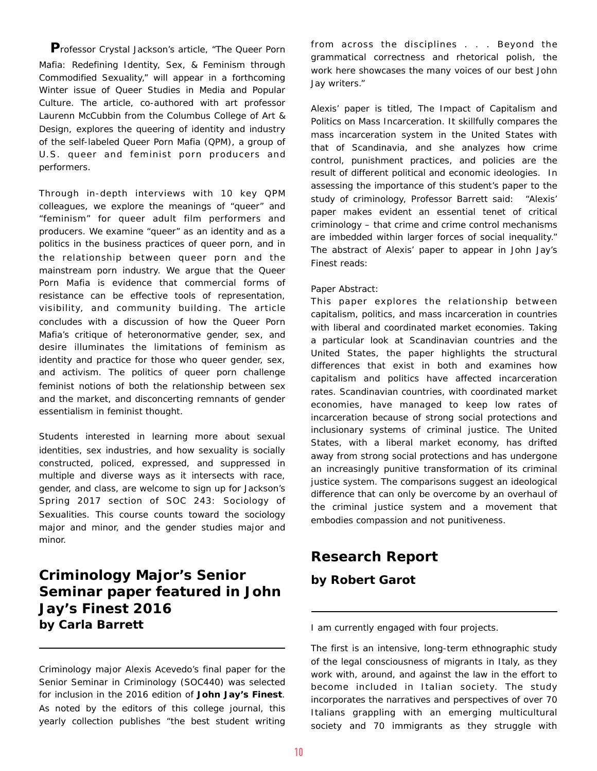**P**rofessor Crystal Jackson's article, "The Queer Porn Mafia: Redefining Identity, Sex, & Feminism through Commodified Sexuality," will appear in a forthcoming Winter issue of Queer Studies in Media and Popular Culture. The article, co-authored with art professor Laurenn McCubbin from the Columbus College of Art & Design, explores the queering of identity and industry of the self-labeled Queer Porn Mafia (QPM), a group of U.S. queer and feminist porn producers and performers.

Through in-depth interviews with 10 key QPM colleagues, we explore the meanings of "queer" and "feminism" for queer adult film performers and producers. We examine "queer" as an identity and as a politics in the business practices of queer porn, and in the relationship between queer porn and the mainstream porn industry. We argue that the Queer Porn Mafia is evidence that commercial forms of resistance can be effective tools of representation, visibility, and community building. The article concludes with a discussion of how the Queer Porn Mafia's critique of heteronormative gender, sex, and desire illuminates the limitations of feminism as identity and practice for those who queer gender, sex, and activism. The politics of queer porn challenge feminist notions of both the relationship between sex and the market, and disconcerting remnants of gender essentialism in feminist thought.

Students interested in learning more about sexual identities, sex industries, and how sexuality is socially constructed, policed, expressed, and suppressed in multiple and diverse ways as it intersects with race, gender, and class, are welcome to sign up for Jackson's Spring 2017 section of SOC 243: Sociology of Sexualities. This course counts toward the sociology major and minor, and the gender studies major and minor.

### **Criminology Major's Senior Seminar paper featured in John Jay's Finest 2016 by Carla Barrett**

Criminology major Alexis Acevedo's final paper for the Senior Seminar in Criminology (SOC440) was selected for inclusion in the 2016 edition of *John Jay's Finest*. As noted by the editors of this college journal, this yearly collection publishes "the best student writing from across the disciplines . . . Beyond the grammatical correctness and rhetorical polish, the work here showcases the many voices of our best John Jay writers."

Alexis' paper is titled, *The Impact of Capitalism and Politics on Mass Incarceration*. It skillfully compares the mass incarceration system in the United States with that of Scandinavia, and she analyzes how crime control, punishment practices, and policies are the result of different political and economic ideologies. In assessing the importance of this student's paper to the study of criminology, Professor Barrett said: "Alexis' paper makes evident an essential tenet of critical criminology – that crime and crime control mechanisms are imbedded within larger forces of social inequality." The abstract of Alexis' paper to appear in John Jay's Finest reads:

### Paper Abstract:

This paper explores the relationship between capitalism, politics, and mass incarceration in countries with liberal and coordinated market economies. Taking a particular look at Scandinavian countries and the United States, the paper highlights the structural differences that exist in both and examines how capitalism and politics have affected incarceration rates. Scandinavian countries, with coordinated market economies, have managed to keep low rates of incarceration because of strong social protections and inclusionary systems of criminal justice. The United States, with a liberal market economy, has drifted away from strong social protections and has undergone an increasingly punitive transformation of its criminal justice system. The comparisons suggest an ideological difference that can only be overcome by an overhaul of the criminal justice system and a movement that embodies compassion and not punitiveness.

### **Research Report by Robert Garot**

I am currently engaged with four projects.

The first is an intensive, long-term ethnographic study of the legal consciousness of migrants in Italy, as they work with, around, and against the law in the effort to become included in Italian society. The study incorporates the narratives and perspectives of over 70 Italians grappling with an emerging multicultural society and 70 immigrants as they struggle with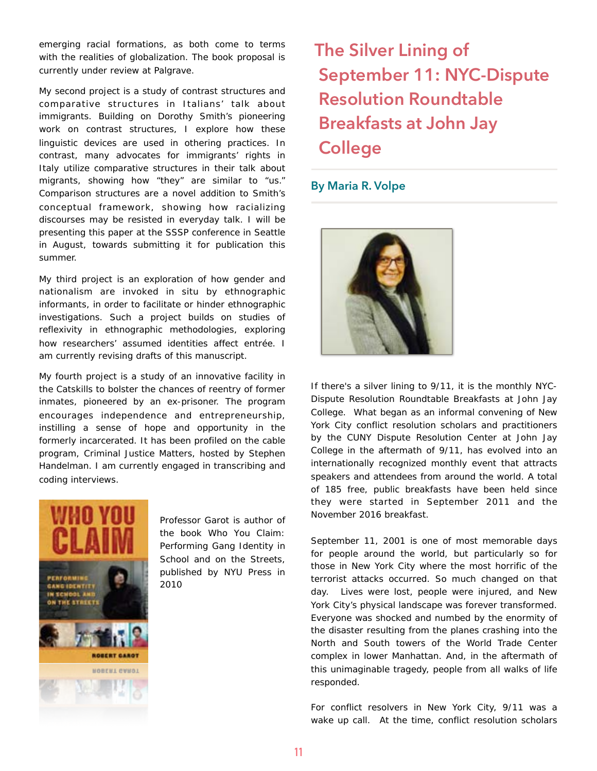emerging racial formations, as both come to terms with the realities of globalization. The book proposal is currently under review at Palgrave.

My second project is a study of contrast structures and comparative structures in Italians' talk about immigrants. Building on Dorothy Smith's pioneering work on contrast structures, I explore how these linguistic devices are used in othering practices. In contrast, many advocates for immigrants' rights in Italy utilize comparative structures in their talk about migrants, showing how "they" are similar to "us." Comparison structures are a novel addition to Smith's conceptual framework, showing how racializing discourses may be resisted in everyday talk. I will be presenting this paper at the SSSP conference in Seattle in August, towards submitting it for publication this summer.

My third project is an exploration of how gender and nationalism are invoked in situ by ethnographic informants, in order to facilitate or hinder ethnographic investigations. Such a project builds on studies of reflexivity in ethnographic methodologies, exploring how researchers' assumed identities affect entrée. I am currently revising drafts of this manuscript.

My fourth project is a study of an innovative facility in the Catskills to bolster the chances of reentry of former inmates, pioneered by an ex-prisoner. The program encourages independence and entrepreneurship, instilling a sense of hope and opportunity in the formerly incarcerated. It has been profiled on the cable program, Criminal Justice Matters, hosted by Stephen Handelman. I am currently engaged in transcribing and coding interviews.

![](_page_10_Picture_4.jpeg)

Professor Garot is author of the book *Who You Claim: Performing Gang Identity in School and on the Streets,* published by NYU Press in 2010

# **The Silver Lining of September 11: NYC-Dispute Resolution Roundtable Breakfasts at John Jay College**

### **By Maria R. Volpe**

![](_page_10_Picture_8.jpeg)

If there's a *silver lining* to 9/11, it is the monthly NYC-Dispute Resolution Roundtable Breakfasts at John Jay College. What began as an informal convening of New York City conflict resolution scholars and practitioners by the CUNY Dispute Resolution Center at John Jay College in the aftermath of 9/11, has evolved into an internationally recognized monthly event that attracts speakers and attendees from around the world. A total of 185 free, public breakfasts have been held since they were started in September 2011 and the November 2016 breakfast.

September 11, 2001 is one of most memorable days for people around the world, but particularly so for those in New York City where the most horrific of the terrorist attacks occurred. So much changed on that day. Lives were lost, people were injured, and New York City's physical landscape was forever transformed. Everyone was shocked and numbed by the enormity of the disaster resulting from the planes crashing into the North and South towers of the World Trade Center complex in lower Manhattan. And, in the aftermath of this unimaginable tragedy, people from all walks of life responded.

For conflict resolvers in New York City, 9/11 was a wake up call. At the time, conflict resolution scholars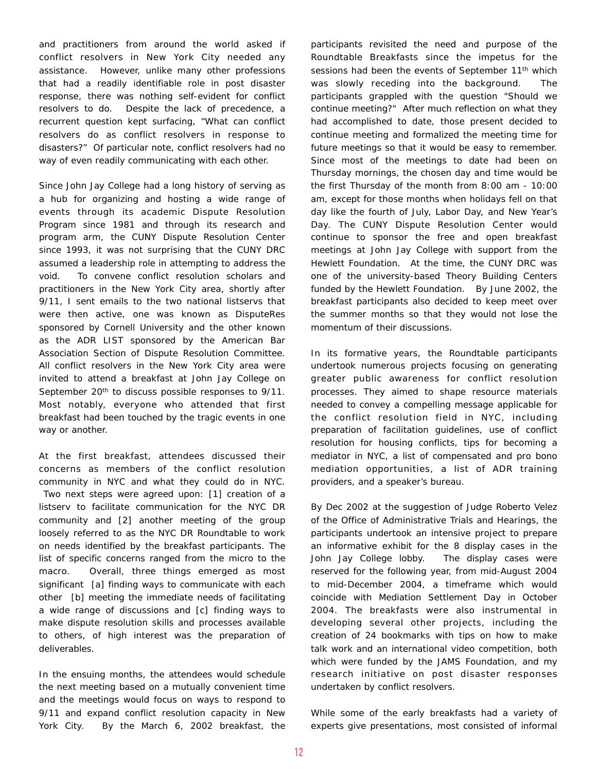and practitioners from around the world asked if conflict resolvers in New York City needed any assistance. However, unlike many other professions that had a readily identifiable role in post disaster response, there was nothing self-evident for conflict resolvers to do. Despite the lack of precedence, a recurrent question kept surfacing, "What can conflict resolvers do as conflict resolvers in response to disasters?" Of particular note, conflict resolvers had no way of even readily communicating with each other.

Since John Jay College had a long history of serving as a hub for organizing and hosting a wide range of events through its academic Dispute Resolution Program since 1981 and through its research and program arm, the CUNY Dispute Resolution Center since 1993, it was not surprising that the CUNY DRC assumed a leadership role in attempting to address the void. To convene conflict resolution scholars and practitioners in the New York City area, shortly after 9/11, I sent emails to the two national listservs that were then active, one was known as DisputeRes sponsored by Cornell University and the other known as the ADR LIST sponsored by the American Bar Association Section of Dispute Resolution Committee. All conflict resolvers in the New York City area were invited to attend a breakfast at John Jay College on September 20<sup>th</sup> to discuss possible responses to 9/11. Most notably, everyone who attended that first breakfast had been touched by the tragic events in one way or another.

At the first breakfast, attendees discussed their concerns as members of the conflict resolution community in NYC and what they could do in NYC. Two next steps were agreed upon: [1] creation of a listserv to facilitate communication for the NYC DR community and [2] another meeting of the group loosely referred to as the NYC DR Roundtable to work on needs identified by the breakfast participants. The list of specific concerns ranged from the micro to the macro. Overall, three things emerged as most significant [a] finding ways to communicate with each other [b] meeting the immediate needs of facilitating a wide range of discussions and [c] finding ways to make dispute resolution skills and processes available to others, of high interest was the preparation of deliverables.

In the ensuing months, the attendees would schedule the next meeting based on a mutually convenient time and the meetings would focus on ways to respond to 9/11 and expand conflict resolution capacity in New York City. By the March 6, 2002 breakfast, the participants revisited the need and purpose of the Roundtable Breakfasts since the impetus for the sessions had been the events of September 11<sup>th</sup> which was slowly receding into the background. The participants grappled with the question "Should we continue meeting?" After much reflection on what they had accomplished to date, those present decided to continue meeting and formalized the meeting time for future meetings so that it would be easy to remember. Since most of the meetings to date had been on Thursday mornings, the chosen day and time would be the first Thursday of the month from 8:00 am - 10:00 am, except for those months when holidays fell on that day like the fourth of July, Labor Day, and New Year's Day. The CUNY Dispute Resolution Center would continue to sponsor the free and open breakfast meetings at John Jay College with support from the Hewlett Foundation. At the time, the CUNY DRC was one of the university-based Theory Building Centers funded by the Hewlett Foundation. By June 2002, the breakfast participants also decided to keep meet over the summer months so that they would not lose the momentum of their discussions.

In its formative years, the Roundtable participants undertook numerous projects focusing on generating greater public awareness for conflict resolution processes. They aimed to shape resource materials needed to convey a compelling message applicable for the conflict resolution field in NYC, including preparation of facilitation guidelines, use of conflict resolution for housing conflicts, tips for becoming a mediator in NYC, a list of compensated and pro bono mediation opportunities, a list of ADR training providers, and a speaker's bureau.

By Dec 2002 at the suggestion of Judge Roberto Velez of the Office of Administrative Trials and Hearings, the participants undertook an intensive project to prepare an informative exhibit for the 8 display cases in the John Jay College lobby. The display cases were reserved for the following year, from mid-August 2004 to mid-December 2004, a timeframe which would coincide with Mediation Settlement Day in October 2004. The breakfasts were also instrumental in developing several other projects, including the creation of 24 bookmarks with tips on how to make talk work and an international video competition, both which were funded by the JAMS Foundation, and my research initiative on post disaster responses undertaken by conflict resolvers.

While some of the early breakfasts had a variety of experts give presentations, most consisted of informal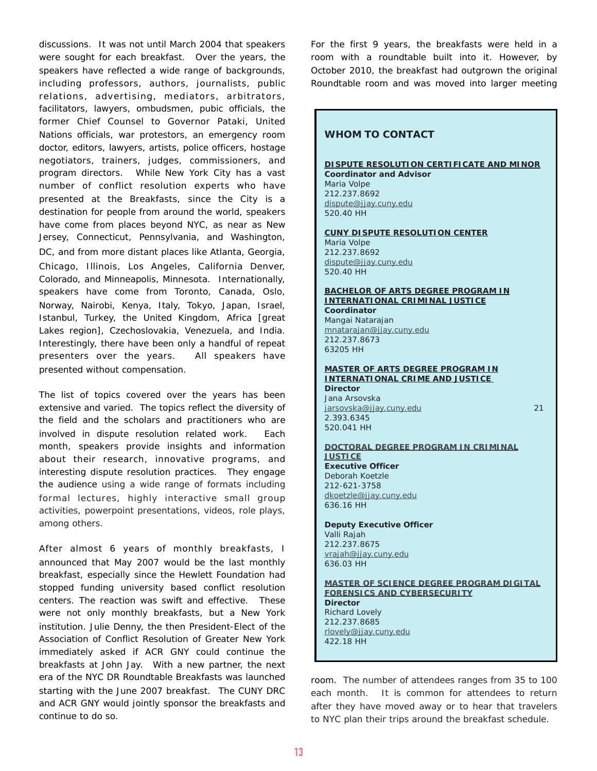discussions. It was not until March 2004 that speakers were sought for each breakfast. Over the years, the speakers have reflected a wide range of backgrounds, including professors, authors, journalists, public relations, advertising, mediators, arbitrators, facilitators, lawyers, ombudsmen, pubic officials, the former Chief Counsel to Governor Pataki, United Nations officials, war protestors, an emergency room doctor, editors, lawyers, artists, police officers, hostage negotiators, trainers, judges, commissioners, and program directors. While New York City has a vast number of conflict resolution experts who have presented at the Breakfasts, since the City is a destination for people from around the world, speakers have come from places beyond NYC, as near as New Jersey, Connecticut, Pennsylvania, and Washington, DC, and from more distant places like Atlanta, Georgia, Chicago, Illinois, Los Angeles, California Denver, Colorado, and Minneapolis, Minnesota. Internationally, speakers have come from Toronto, Canada, Oslo, Norway, Nairobi, Kenya, Italy, Tokyo, Japan, Israel, Istanbul, Turkey, the United Kingdom, Africa [great Lakes region], Czechoslovakia, Venezuela, and India. Interestingly, there have been only a handful of repeat presenters over the years. All speakers have presented without compensation.

The list of topics covered over the years has been extensive and varied. The topics reflect the diversity of the field and the scholars and practitioners who are involved in dispute resolution related work. Each month, speakers provide insights and information about their research, innovative programs, and interesting dispute resolution practices. They engage the audience using a wide range of formats including formal lectures, highly interactive small group activities, powerpoint presentations, videos, role plays, among others.

After almost 6 years of monthly breakfasts, I announced that May 2007 would be the last monthly breakfast, especially since the Hewlett Foundation had stopped funding university based conflict resolution centers. The reaction was swift and effective. These were not only monthly breakfasts, but a New York institution. Julie Denny, the then President-Elect of the Association of Conflict Resolution of Greater New York immediately asked if ACR GNY could continue the breakfasts at John Jay. With a new partner, the next era of the NYC DR Roundtable Breakfasts was launched starting with the June 2007 breakfast. The CUNY DRC and ACR GNY would jointly sponsor the breakfasts and continue to do so.

For the first 9 years, the breakfasts were held in a room with a roundtable built into it. However, by October 2010, the breakfast had outgrown the original Roundtable room and was moved into larger meeting

| <b>WHOM TO CONTACT</b>                                                                            |
|---------------------------------------------------------------------------------------------------|
| DISPUTE RESOLUTION CERTIFICATE AND MINOR<br><b>Coordinator and Advisor</b><br>Maria Volpe         |
| 212.237.8692<br>dispute@jjay.cuny.edu<br>520.40 HH                                                |
| <b>CUNY DISPUTE RESOLUTION CENTER</b><br>Maria Volpe<br>212.237.8692                              |
| dispute@jjay.cuny.edu<br>520.40 HH                                                                |
| <b>BACHELOR OF ARTS DEGREE PROGRAM IN</b><br><b>INTERNATIONAL CRIMINAL JUSTICE</b><br>Coordinator |
| Mangai Natarajan<br>mnatarajan@jjay.cuny.edu<br>212.237.8673                                      |
| 63205 HH<br><u>MASTER OF ARTS DEGREE PROGRAM IN</u>                                               |
| <b>INTERNATIONAL CRIME AND JUSTICE</b><br><b>Director</b><br>Jana Arsovska                        |
| 21<br>jarsovska@jjay.cuny.edu<br>2.393.6345<br>520.041 HH                                         |
| <u>DOCTORAL DEGREE PROGRAM IN CRIMINAL</u><br><b>JUSTICE</b><br><b>Executive Officer</b>          |
| Deborah Koetzle<br>212-621-3758<br>dkoetzle@jjay.cuny.edu                                         |
| 636.16 HH<br><b>Deputy Executive Officer</b>                                                      |
| Valli Rajah<br>212.237.8675<br>vrajah@jjay.cuny.edu<br>636.03 HH                                  |
| <b>MASTER OF SCIENCE DEGREE PROGRAM DIGITAL</b><br><b>FORENSICS AND CYBERSECURITY</b>             |
| <b>Director</b><br><b>Richard Lovely</b><br>212.237.8685                                          |
| rlovely@jjay.cuny.edu<br>422.18 HH                                                                |

room. The number of attendees ranges from 35 to 100 each month. It is common for attendees to return after they have moved away or to hear that travelers to NYC plan their trips around the breakfast schedule.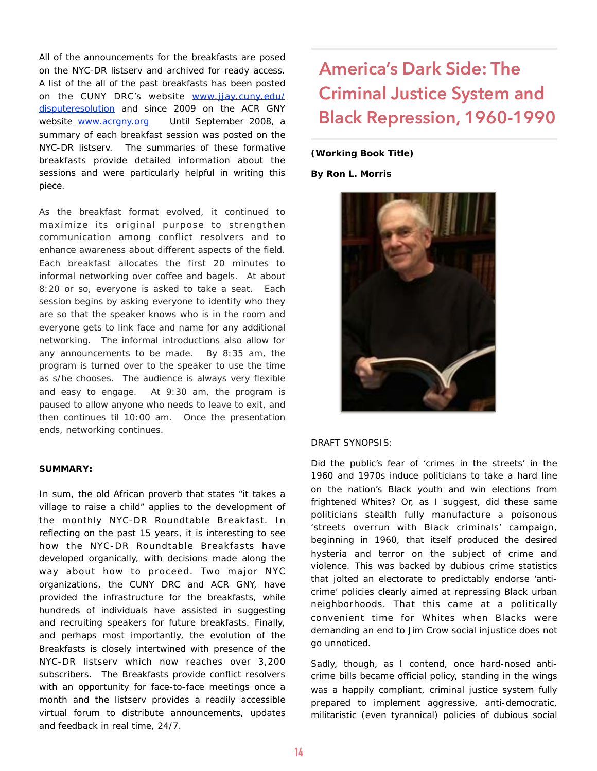All of the announcements for the breakfasts are posed on the NYC-DR listserv and archived for ready access. A list of the all of the past breakfasts has been posted on the CUNY DRC's website www.jjay.cuny.edu/ [disputeresolution and since 2009 on the ACR GNY](http://www.jjay.cuny.edu/disputeresolution)  website www.acrgny.org Until September 2008, a summary of each breakfast session was posted on the NYC-DR listserv. The summaries of these formative breakfasts provide detailed information about the sessions and were particularly helpful in writing this piece.

As the breakfast format evolved, it continued to maximize its original purpose to strengthen communication among conflict resolvers and to enhance awareness about different aspects of the field. Each breakfast allocates the first 20 minutes to informal networking over coffee and bagels. At about 8:20 or so, everyone is asked to take a seat. Each session begins by asking everyone to identify who they are so that the speaker knows who is in the room and everyone gets to link face and name for any additional networking. The informal introductions also allow for any announcements to be made. By 8:35 am, the program is turned over to the speaker to use the time as s/he chooses. The audience is always very flexible and easy to engage. At 9:30 am, the program is paused to allow anyone who needs to leave to exit, and then continues til 10:00 am. Once the presentation ends, networking continues.

#### **SUMMARY:**

In sum, the old African proverb that states "it takes a village to raise a child" applies to the development of the monthly NYC-DR Roundtable Breakfast. In reflecting on the past 15 years, it is interesting to see how the NYC-DR Roundtable Breakfasts have developed organically, with decisions made along the way about how to proceed. Two major NYC organizations, the CUNY DRC and ACR GNY, have provided the infrastructure for the breakfasts, while hundreds of individuals have assisted in suggesting and recruiting speakers for future breakfasts. Finally, and perhaps most importantly, the evolution of the Breakfasts is closely intertwined with presence of the NYC-DR listserv which now reaches over 3,200 subscribers. The Breakfasts provide conflict resolvers with an opportunity for face-to-face meetings once a month and the listserv provides a readily accessible virtual forum to distribute announcements, updates and feedback in real time, 24/7.

# **America's Dark Side: The Criminal Justice System and Black Repression, 1960-1990**

#### **(Working Book Title)**

**By Ron L. Morris** 

![](_page_13_Picture_7.jpeg)

### DRAFT SYNOPSIS:

Did the public's fear of 'crimes in the streets' in the 1960 and 1970s induce politicians to take a hard line on the nation's Black youth and win elections from frightened Whites? Or, as I suggest, did these same politicians stealth fully manufacture a poisonous 'streets overrun with Black criminals' campaign, beginning in 1960, that itself produced the desired hysteria and terror on the subject of crime and violence. This was backed by dubious crime statistics that jolted an electorate to predictably endorse 'anticrime' policies clearly aimed at repressing Black urban neighborhoods. That this came at a politically convenient time for Whites when Blacks were demanding an end to Jim Crow social injustice does not go unnoticed.

Sadly, though, as I contend, once hard-nosed anticrime bills became official policy, standing in the wings was a happily compliant, criminal justice system fully prepared to implement aggressive, anti-democratic, militaristic (even tyrannical) policies of dubious social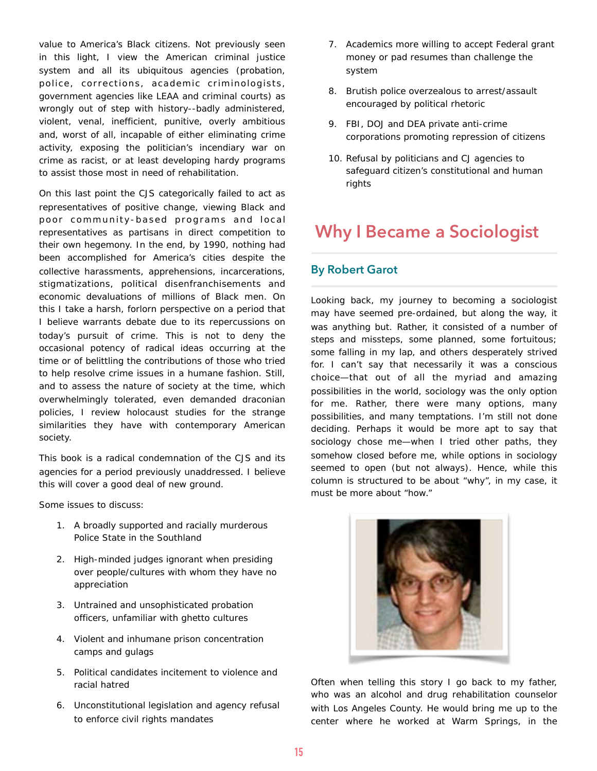value to America's Black citizens. Not previously seen in this light, I view the American criminal justice system and all its ubiquitous agencies (probation, police, corrections, academic criminologists, government agencies like LEAA and criminal courts) as wrongly out of step with history--badly administered, violent, venal, inefficient, punitive, overly ambitious and, worst of all, incapable of either eliminating crime activity, exposing the politician's incendiary war on crime as racist, or at least developing hardy programs to assist those most in need of rehabilitation.

On this last point the CJS categorically failed to act as representatives of positive change, viewing Black and poor community-based programs and local representatives as partisans in direct competition to their own hegemony. In the end, by 1990, nothing had been accomplished for America's cities despite the collective harassments, apprehensions, incarcerations, stigmatizations, political disenfranchisements and economic devaluations of millions of Black men. On this I take a harsh, forlorn perspective on a period that I believe warrants debate due to its repercussions on today's pursuit of crime. This is not to deny the occasional potency of radical ideas occurring at the time or of belittling the contributions of those who tried to help resolve crime issues in a humane fashion. Still, and to assess the nature of society at the time, which overwhelmingly tolerated, even demanded draconian policies, I review holocaust studies for the strange similarities they have with contemporary American society.

This book is a radical condemnation of the CJS and its agencies for a period previously unaddressed. I believe this will cover a good deal of new ground.

Some issues to discuss:

- 1. A broadly supported and racially murderous Police State in the Southland
- 2. High-minded judges ignorant when presiding over people/cultures with whom they have no appreciation
- 3. Untrained and unsophisticated probation officers, unfamiliar with ghetto cultures
- 4. Violent and inhumane prison concentration camps and gulags
- 5. Political candidates incitement to violence and racial hatred
- 6. Unconstitutional legislation and agency refusal to enforce civil rights mandates
- 7. Academics more willing to accept Federal grant money or pad resumes than challenge the system
- 8. Brutish police overzealous to arrest/assault encouraged by political rhetoric
- 9. FBI, DOJ and DEA private anti-crime corporations promoting repression of citizens
- 10. Refusal by politicians and CJ agencies to safeguard citizen's constitutional and human rights

### **Why I Became a Sociologist**

### **By Robert Garot**

Looking back, my journey to becoming a sociologist may have seemed pre-ordained, but along the way, it was anything but. Rather, it consisted of a number of steps and missteps, some planned, some fortuitous; some falling in my lap, and others desperately strived for. I can't say that necessarily it was a conscious choice—that out of all the myriad and amazing possibilities in the world, sociology was the only option for me. Rather, there were many options, many possibilities, and many temptations. I'm still not done deciding. Perhaps it would be more apt to say that sociology chose me—when I tried other paths, they somehow closed before me, while options in sociology seemed to open (but not always). Hence, while this column is structured to be about "why", in my case, it must be more about "how."

![](_page_14_Picture_17.jpeg)

Often when telling this story I go back to my father, who was an alcohol and drug rehabilitation counselor with Los Angeles County. He would bring me up to the center where he worked at Warm Springs, in the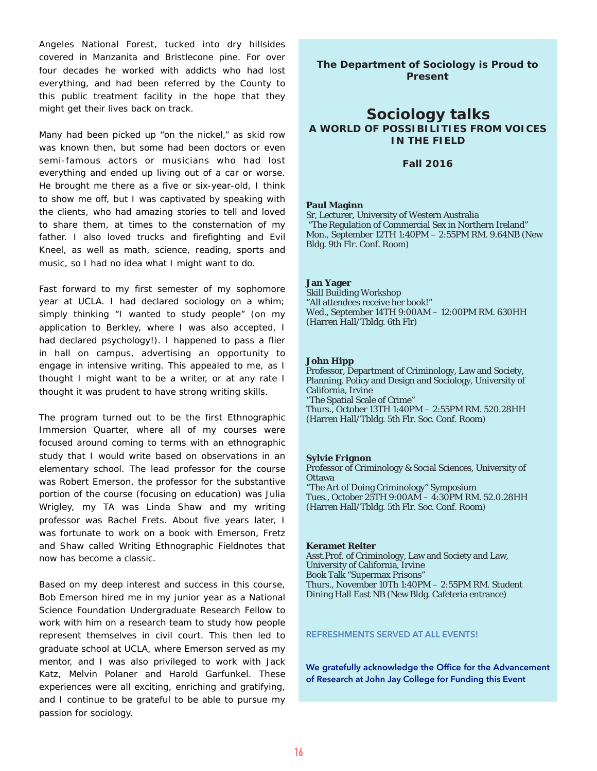Angeles National Forest, tucked into dry hillsides covered in Manzanita and Bristlecone pine. For over four decades he worked with addicts who had lost everything, and had been referred by the County to this public treatment facility in the hope that they might get their lives back on track.

Many had been picked up "on the nickel," as skid row was known then, but some had been doctors or even semi-famous actors or musicians who had lost everything and ended up living out of a car or worse. He brought me there as a five or six-year-old, I think to show me off, but I was captivated by speaking with the clients, who had amazing stories to tell and loved to share them, at times to the consternation of my father. I also loved trucks and firefighting and Evil Kneel, as well as math, science, reading, sports and music, so I had no idea what I might want to do.

Fast forward to my first semester of my sophomore year at UCLA. I had declared sociology on a whim; simply thinking "I wanted to study people" (on my application to Berkley, where I was also accepted, I had declared psychology!). I happened to pass a flier in hall on campus, advertising an opportunity to engage in intensive writing. This appealed to me, as I thought I might want to be a writer, or at any rate I thought it was prudent to have strong writing skills.

The program turned out to be the first Ethnographic Immersion Quarter, where all of my courses were focused around coming to terms with an ethnographic study that I would write based on observations in an elementary school. The lead professor for the course was Robert Emerson, the professor for the substantive portion of the course (focusing on education) was Julia Wrigley, my TA was Linda Shaw and my writing professor was Rachel Frets. About five years later, I was fortunate to work on a book with Emerson, Fretz and Shaw called *Writing Ethnographic Fieldnotes* that now has become a classic.

Based on my deep interest and success in this course, Bob Emerson hired me in my junior year as a National Science Foundation Undergraduate Research Fellow to work with him on a research team to study how people represent themselves in civil court. This then led to graduate school at UCLA, where Emerson served as my mentor, and I was also privileged to work with Jack Katz, Melvin Polaner and Harold Garfunkel. These experiences were all exciting, enriching and gratifying, and I continue to be grateful to be able to pursue my passion for sociology.

**The Department of Sociology is Proud to Present**

### **Sociology talks A WORLD OF POSSIBILITIES FROM VOICES IN THE FIELD**

#### **Fall 2016**

#### **Paul Maginn**

Sr, Lecturer, University of Western Australia "The Regulation of Commercial Sex in Northern Ireland" Mon., September 12TH 1:40PM – 2:55PM RM. 9.64NB (New Bldg. 9th Flr. Conf. Room)

#### **Jan Yager**

Skill Building Workshop "All attendees receive her book!" Wed., September 14TH 9:00AM – 12:00PM RM. 630HH (Harren Hall/Tbldg. 6th Flr)

#### **John Hipp**

Professor, Department of Criminology, Law and Society, Planning, Policy and Design and Sociology, University of California, Irvine "The Spatial Scale of Crime" Thurs., October 13TH 1:40PM – 2:55PM RM. 520.28HH (Harren Hall/Tbldg. 5th Flr. Soc. Conf. Room)

#### **Sylvie Frignon**

Professor of Criminology & Social Sciences, University of **Ottawa** "The Art of Doing Criminology" Symposium Tues., October 25TH 9:00AM – 4:30PM RM. 52.0.28HH (Harren Hall/Tbldg. 5th Flr. Soc. Conf. Room)

**Keramet Reiter** Asst.Prof. of Criminology, Law and Society and Law, University of California, Irvine Book Talk "Supermax Prisons" Thurs., November 10Th 1:40PM – 2:55PM RM. Student Dining Hall East NB (New Bldg. Cafeteria entrance)

#### **REFRESHMENTS SERVED AT ALL EVENTS!**

**We gratefully acknowledge the Office for the Advancement of Research at John Jay College for Funding this Event**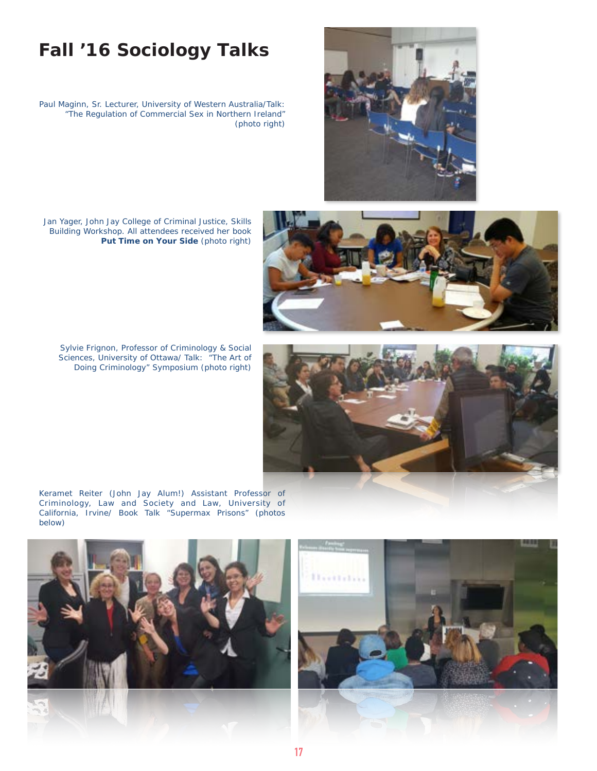![](_page_16_Picture_0.jpeg)

## **Fall '16 Sociology Talks**

Paul Maginn, Sr. Lecturer, University of Western Australia/Talk: "The Regulation of Commercial Sex in Northern Ireland" (photo right)

Jan Yager, John Jay College of Criminal Justice, Skills Building Workshop. All attendees received her book **Put Time on Your Side** (photo right)

Sylvie Frignon, Professor of Criminology & Social Sciences, University of Ottawa/ Talk: "The Art of Doing Criminology" Symposium (photo right)

![](_page_16_Picture_5.jpeg)

Keramet Reiter (John Jay Alum!) Assistant Professor of Criminology, Law and Society and Law, University of California, Irvine/ Book Talk "Supermax Prisons" (photos below)

![](_page_16_Picture_7.jpeg)

![](_page_16_Picture_8.jpeg)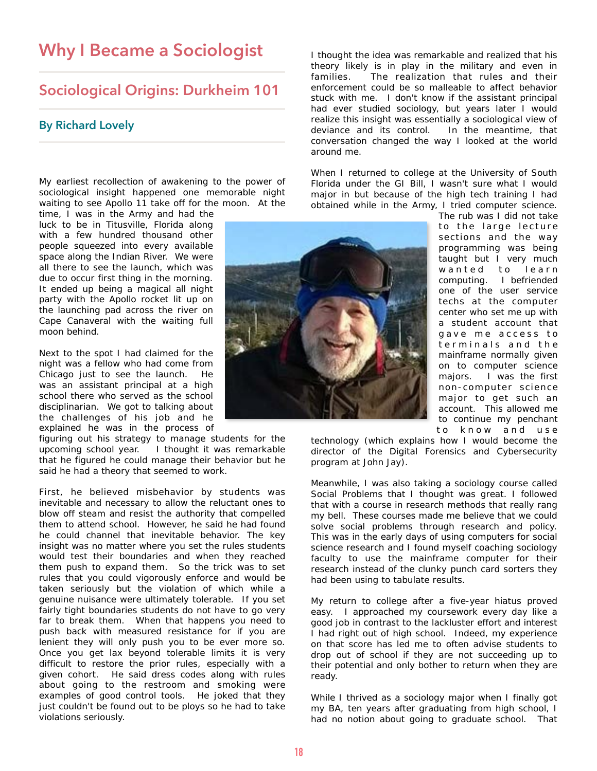### **Why I Became a Sociologist**

### **Sociological Origins: Durkheim 101**

### **By Richard Lovely**

My earliest recollection of awakening to the power of sociological insight happened one memorable night waiting to see Apollo 11 take off for the moon. At the

time, I was in the Army and had the luck to be in Titusville, Florida along with a few hundred thousand other people squeezed into every available space along the Indian River. We were all there to see the launch, which was due to occur first thing in the morning. It ended up being a magical all night party with the Apollo rocket lit up on the launching pad across the river on Cape Canaveral with the waiting full moon behind.

Next to the spot I had claimed for the night was a fellow who had come from Chicago just to see the launch. He was an assistant principal at a high school there who served as the school disciplinarian. We got to talking about the challenges of his job and he explained he was in the process of

figuring out his strategy to manage students for the upcoming school year. I thought it was remarkable that he figured he could manage their behavior but he said he had a theory that seemed to work.

First, he believed misbehavior by students was inevitable and necessary to allow the reluctant ones to blow off steam and resist the authority that compelled them to attend school. However, he said he had found he could channel that inevitable behavior. The key insight was no matter where you set the rules students would test their boundaries and when they reached them push to expand them. So the trick was to set rules that you could vigorously enforce and would be taken seriously but the violation of which while a genuine nuisance were ultimately tolerable. If you set fairly tight boundaries students do not have to go very far to break them. When that happens you need to push back with measured resistance for if you are lenient they will only push you to be ever more so. Once you get lax beyond tolerable limits it is very difficult to restore the prior rules, especially with a given cohort. He said dress codes along with rules about going to the restroom and smoking were examples of good control tools. He joked that they just couldn't be found out to be ploys so he had to take violations seriously.

I thought the idea was remarkable and realized that his theory likely is in play in the military and even in families. The realization that rules and their enforcement could be so malleable to affect behavior stuck with me. I don't know if the assistant principal had ever studied sociology, but years later I would realize this insight was essentially a sociological view of deviance and its control. In the meantime, that conversation changed the way I looked at the world around me.

When I returned to college at the University of South Florida under the GI Bill, I wasn't sure what I would major in but because of the high tech training I had obtained while in the Army, I tried computer science.

![](_page_17_Picture_10.jpeg)

The rub was I did not take to the large lecture sections and the way programming was being taught but I very much wanted to learn computing. I befriended one of the user service techs at the computer center who set me up with a student account that gave me access to terminals and the mainframe normally given on to computer science majors. I was the first non-computer science major to get such an account. This allowed me to continue my penchant to know and use

technology (which explains how I would become the director of the Digital Forensics and Cybersecurity program at John Jay).

Meanwhile, I was also taking a sociology course called Social Problems that I thought was great. I followed that with a course in research methods that really rang my bell. These courses made me believe that we could solve social problems through research and policy. This was in the early days of using computers for social science research and I found myself coaching sociology faculty to use the mainframe computer for their research instead of the clunky punch card sorters they had been using to tabulate results.

My return to college after a five-year hiatus proved easy. I approached my coursework every day like a good job in contrast to the lackluster effort and interest I had right out of high school. Indeed, my experience on that score has led me to often advise students to drop out of school if they are not succeeding up to their potential and only bother to return when they are ready.

While I thrived as a sociology major when I finally got my BA, ten years after graduating from high school, I had no notion about going to graduate school. That